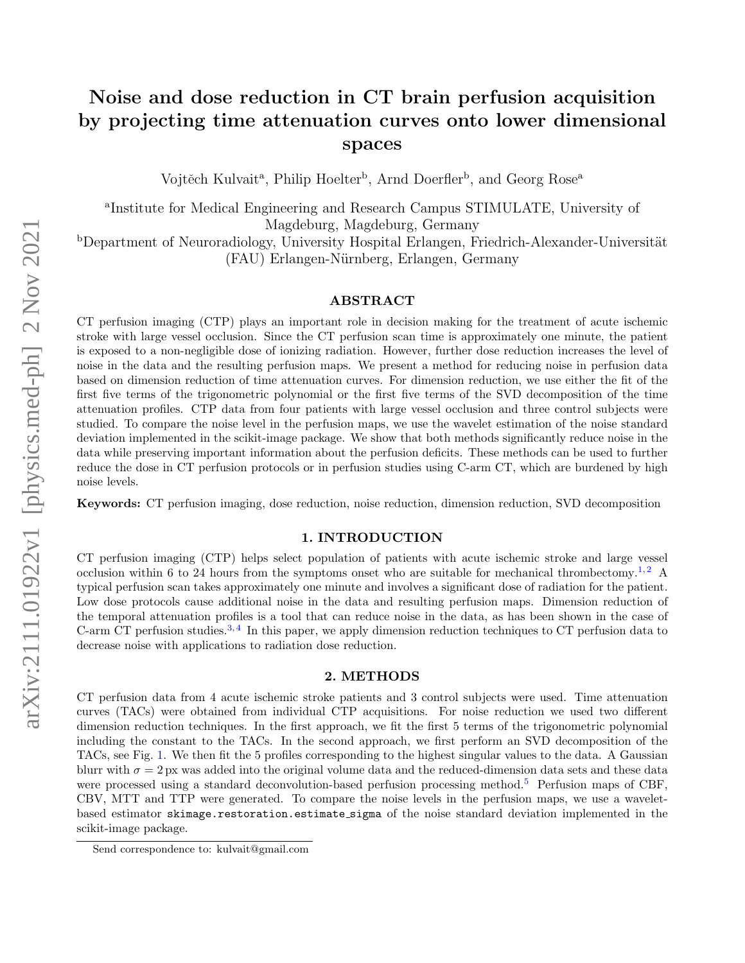# Noise and dose reduction in CT brain perfusion acquisition by projecting time attenuation curves onto lower dimensional spaces

Vojtěch Kulvait<sup>a</sup>, Philip Hoelter<sup>b</sup>, Arnd Doerfler<sup>b</sup>, and Georg Rose<sup>a</sup>

a Institute for Medical Engineering and Research Campus STIMULATE, University of Magdeburg, Magdeburg, Germany

bDepartment of Neuroradiology, University Hospital Erlangen, Friedrich-Alexander-Universität (FAU) Erlangen-N¨urnberg, Erlangen, Germany

# ABSTRACT

CT perfusion imaging (CTP) plays an important role in decision making for the treatment of acute ischemic stroke with large vessel occlusion. Since the CT perfusion scan time is approximately one minute, the patient is exposed to a non-negligible dose of ionizing radiation. However, further dose reduction increases the level of noise in the data and the resulting perfusion maps. We present a method for reducing noise in perfusion data based on dimension reduction of time attenuation curves. For dimension reduction, we use either the fit of the first five terms of the trigonometric polynomial or the first five terms of the SVD decomposition of the time attenuation profiles. CTP data from four patients with large vessel occlusion and three control subjects were studied. To compare the noise level in the perfusion maps, we use the wavelet estimation of the noise standard deviation implemented in the scikit-image package. We show that both methods significantly reduce noise in the data while preserving important information about the perfusion deficits. These methods can be used to further reduce the dose in CT perfusion protocols or in perfusion studies using C-arm CT, which are burdened by high noise levels.

Keywords: CT perfusion imaging, dose reduction, noise reduction, dimension reduction, SVD decomposition

### 1. INTRODUCTION

CT perfusion imaging (CTP) helps select population of patients with acute ischemic stroke and large vessel occlusion within 6 to 24 hours from the symptoms onset who are suitable for mechanical thrombectomy.<sup>[1,](#page-3-0)[2](#page-3-1)</sup> A typical perfusion scan takes approximately one minute and involves a significant dose of radiation for the patient. Low dose protocols cause additional noise in the data and resulting perfusion maps. Dimension reduction of the temporal attenuation profiles is a tool that can reduce noise in the data, as has been shown in the case of C-arm CT perfusion studies.<sup>[3,](#page-3-2)[4](#page-3-3)</sup> In this paper, we apply dimension reduction techniques to CT perfusion data to decrease noise with applications to radiation dose reduction.

#### 2. METHODS

CT perfusion data from 4 acute ischemic stroke patients and 3 control subjects were used. Time attenuation curves (TACs) were obtained from individual CTP acquisitions. For noise reduction we used two different dimension reduction techniques. In the first approach, we fit the first 5 terms of the trigonometric polynomial including the constant to the TACs. In the second approach, we first perform an SVD decomposition of the TACs, see Fig. [1.](#page-1-0) We then fit the 5 profiles corresponding to the highest singular values to the data. A Gaussian blurr with  $\sigma = 2$  px was added into the original volume data and the reduced-dimension data sets and these data were processed using a standard deconvolution-based perfusion processing method.<sup>[5](#page-3-4)</sup> Perfusion maps of CBF, CBV, MTT and TTP were generated. To compare the noise levels in the perfusion maps, we use a waveletbased estimator skimage.restoration.estimate sigma of the noise standard deviation implemented in the scikit-image package.

Send correspondence to: kulvait@gmail.com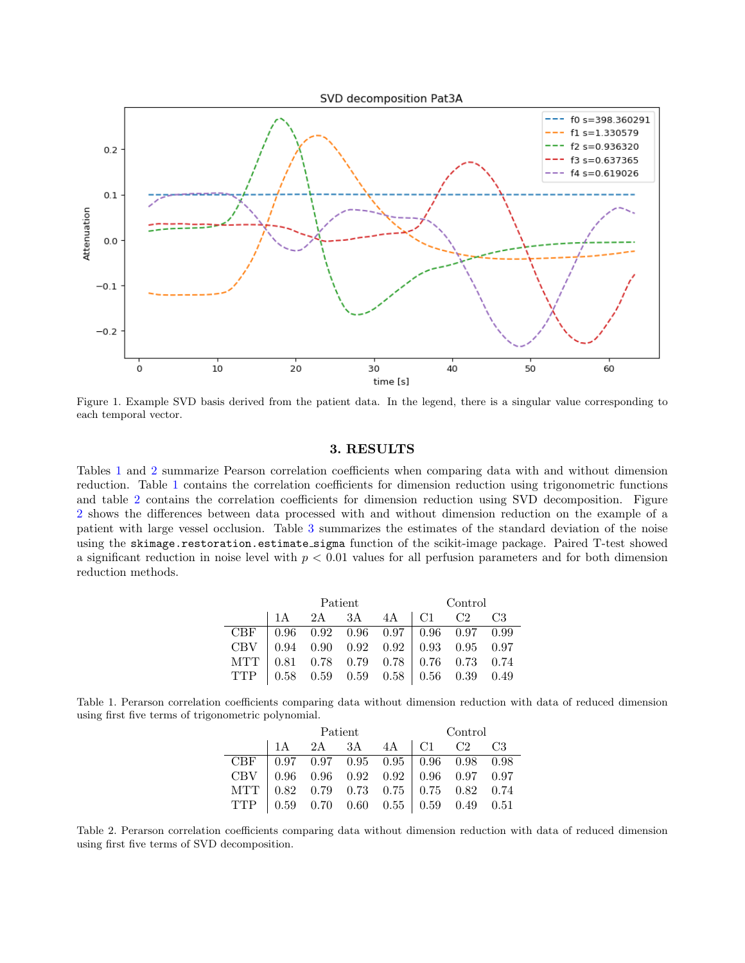

<span id="page-1-0"></span>Figure 1. Example SVD basis derived from the patient data. In the legend, there is a singular value corresponding to each temporal vector.

## 3. RESULTS

Tables [1](#page-1-1) and [2](#page-1-2) summarize Pearson correlation coefficients when comparing data with and without dimension reduction. Table [1](#page-1-1) contains the correlation coefficients for dimension reduction using trigonometric functions and table [2](#page-1-2) contains the correlation coefficients for dimension reduction using SVD decomposition. Figure [2](#page-2-0) shows the differences between data processed with and without dimension reduction on the example of a patient with large vessel occlusion. Table [3](#page-2-1) summarizes the estimates of the standard deviation of the noise using the skimage.restoration.estimate\_sigma function of the scikit-image package. Paired T-test showed a significant reduction in noise level with  $p < 0.01$  values for all perfusion parameters and for both dimension reduction methods.

|                                                                                                                                                                                                                                                                                                      | Patient |  |  | Control                                                                                            |  |  |  |
|------------------------------------------------------------------------------------------------------------------------------------------------------------------------------------------------------------------------------------------------------------------------------------------------------|---------|--|--|----------------------------------------------------------------------------------------------------|--|--|--|
|                                                                                                                                                                                                                                                                                                      |         |  |  | $\begin{array}{ c c c c c c c c c } \hline 1A & 2A & 3A & 4A & C1 & C2 & C3 \\ \hline \end{array}$ |  |  |  |
|                                                                                                                                                                                                                                                                                                      |         |  |  |                                                                                                    |  |  |  |
|                                                                                                                                                                                                                                                                                                      |         |  |  |                                                                                                    |  |  |  |
|                                                                                                                                                                                                                                                                                                      |         |  |  |                                                                                                    |  |  |  |
| $\begin{tabular}{ c c c c c c c c c c } \hline CBF & 0.96 & 0.92 & 0.96 & 0.97 & 0.96 & 0.97 & 0.99 \\ \hline CBV & 0.94 & 0.90 & 0.92 & 0.92 & 0.93 & 0.95 & 0.97 \\ \hline MTT & 0.81 & 0.78 & 0.79 & 0.78 & 0.76 & 0.73 & 0.74 \\ \hline TTP & 0.58 & 0.59 & 0.59 & 0.58 & 0.56 & 0.39 & 0.49 \\$ |         |  |  |                                                                                                    |  |  |  |

<span id="page-1-1"></span>Table 1. Perarson correlation coefficients comparing data without dimension reduction with data of reduced dimension using first five terms of trigonometric polynomial.

|                                                                                                                                                                                                                                                                                                      | Patient |  |  | Control                                                                                           |  |  |  |
|------------------------------------------------------------------------------------------------------------------------------------------------------------------------------------------------------------------------------------------------------------------------------------------------------|---------|--|--|---------------------------------------------------------------------------------------------------|--|--|--|
|                                                                                                                                                                                                                                                                                                      |         |  |  | $\begin{array}{ c c c c c c c c c } \hline 1 & 2A & 3A & 4A & C1 & C2 & C3 \\ \hline \end{array}$ |  |  |  |
|                                                                                                                                                                                                                                                                                                      |         |  |  |                                                                                                   |  |  |  |
|                                                                                                                                                                                                                                                                                                      |         |  |  |                                                                                                   |  |  |  |
|                                                                                                                                                                                                                                                                                                      |         |  |  |                                                                                                   |  |  |  |
| $\begin{tabular}{ c c c c c c c c c c } \hline CBF & 0.97 & 0.97 & 0.95 & 0.95 & 0.96 & 0.98 & 0.98 \\ \hline CBV & 0.96 & 0.96 & 0.92 & 0.92 & 0.96 & 0.97 & 0.97 \\ \hline MTT & 0.82 & 0.79 & 0.73 & 0.75 & 0.75 & 0.82 & 0.74 \\ \hline TTP & 0.59 & 0.70 & 0.60 & 0.55 & 0.59 & 0.49 & 0.51 \\$ |         |  |  |                                                                                                   |  |  |  |

<span id="page-1-2"></span>Table 2. Perarson correlation coefficients comparing data without dimension reduction with data of reduced dimension using first five terms of SVD decomposition.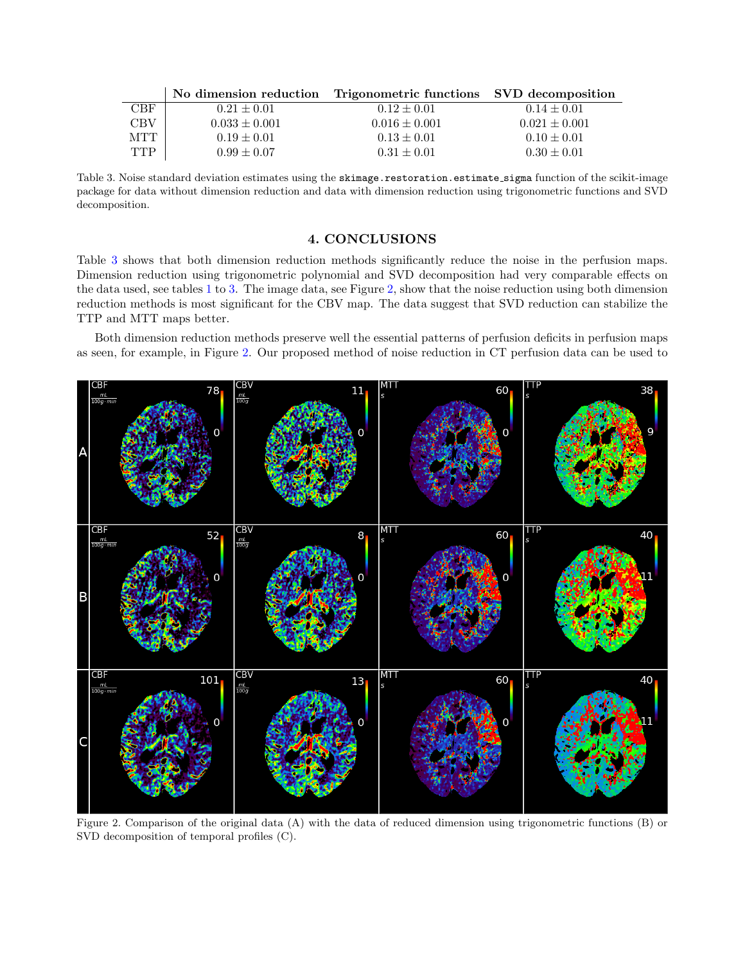|            |                   | No dimension reduction Trigonometric functions SVD decomposition |                   |
|------------|-------------------|------------------------------------------------------------------|-------------------|
| <b>CBF</b> | $0.21 \pm 0.01$   | $0.12 \pm 0.01$                                                  | $0.14 \pm 0.01$   |
| <b>CBV</b> | $0.033 \pm 0.001$ | $0.016 \pm 0.001$                                                | $0.021 \pm 0.001$ |
| <b>MTT</b> | $0.19 \pm 0.01$   | $0.13 \pm 0.01$                                                  | $0.10 \pm 0.01$   |
| <b>TTP</b> | $0.99 \pm 0.07$   | $0.31 \pm 0.01$                                                  | $0.30 \pm 0.01$   |

<span id="page-2-1"></span>Table 3. Noise standard deviation estimates using the skimage.restoration.estimate\_sigma function of the scikit-image package for data without dimension reduction and data with dimension reduction using trigonometric functions and SVD decomposition.

## 4. CONCLUSIONS

Table [3](#page-2-1) shows that both dimension reduction methods significantly reduce the noise in the perfusion maps. Dimension reduction using trigonometric polynomial and SVD decomposition had very comparable effects on the data used, see tables [1](#page-1-1) to [3.](#page-2-1) The image data, see Figure [2,](#page-2-0) show that the noise reduction using both dimension reduction methods is most significant for the CBV map. The data suggest that SVD reduction can stabilize the TTP and MTT maps better.

Both dimension reduction methods preserve well the essential patterns of perfusion deficits in perfusion maps as seen, for example, in Figure [2.](#page-2-0) Our proposed method of noise reduction in CT perfusion data can be used to



<span id="page-2-0"></span>Figure 2. Comparison of the original data (A) with the data of reduced dimension using trigonometric functions (B) or SVD decomposition of temporal profiles (C).